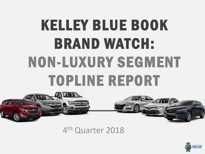# KELLEY BLUE BOOK BRAND WATCH: NON-LUXURY SEGMENT TOPLINE REPORT

4<sup>th</sup> Quarter 2018



KINT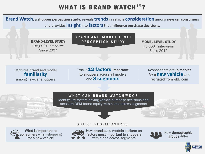## WHAT IS BRAND WATCHTM?

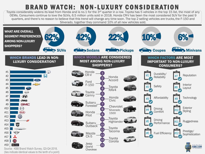## BRAND WATCH: NON-LUXURY CONSIDERATION

Toyota considerably widens its lead from Honda and is no.1 for the 3<sup>rd</sup> quarter in a row. Toyota has 5 vehicles in the top 15 list, the most of any OEMs. Consumers continue to love the SUVs, 6.5 million units sold in 2018. Honda CR-V has been the most considered SUV for the past 9 quarters, and there's no reason to believe that this trend will change any time soon. The top 2 selling vehicles are trucks, the F-150 and Silverado, together they command 10% of all new vehicles sold.



Source: KBB Brand Watch Survey, Q3-Q4-2018, (ties indicate identical values to the tenth of a point)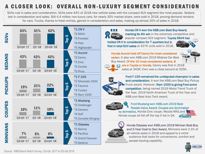## CLOSER LOOK: OVERALL NON-LUXURY SEGMENT CONSIDERATION

SUVs rule in sales and consideration. SUVs were 44% of 2018 new vehicle sales with the compact SUV segment the most popular. Sedans lost in consideration and sales. Still 4.4 million non-luxury cars, for nearly 30% market share, were sold in 2018, proving demand remains for cars. Trucks, thanks to fresh entries, gained in consideration and sales, making up almost 20% of sales in 2018.





Honda CR-V won the KBB.com Best Buy Award, marking its 4th win in the extremely competitive and popular compact SUV segment. Toyota RAV4 has trailed CR-V in consideration for 7 quarters but is first in total SUV sales at 427K units sold in 2018.



Honda Accord held off Camry for most considered sedan. It also won KBB.com 2019 Midsize Car Best Buy Award. Of the 10 most considered sedans, 8



are a Toyota or Honda. Camry was first in 2018 sales at 343K; Civic was a close second at 325K.



**1** Truck award. However, Ram 1500 is giving Ford some Ford F-150 remained the undisputed champion in sales and consideration. It won the KBB.com Best Buy Pickup competition, being named 2019 Motor Trend Truck of the Year, 2019 North American Truck of the Year and KBB.com Best Auto Tech award.

### Ford Mustang won KBB.com 2019 Best Resale Value Award. Coupes are dominated

by domestics, Honda Civic coupe, Mazda MX5,and Honda coupe all fell off the top 5 list in Q4.



Honda Odyssey won KBB.com 2019 Minivan Best Buy and 5-Year Cost to Own Award. Minivans were 2.3% of all vehicle sales in 2018 and appeal to a niche audience that looks for convenience, comfort and people-hauling capability.

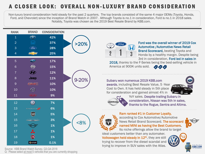## A CLOSER LOOK: OVERALL NON-LUXURY BRAND CONSIDERATION

Non-luxury brand consideration held steady for the past 2 quarters. The top brands consisted of the same 4 major OEMs (Toyota, Honda, Ford, and Chevrolet) since the inception of Brand Watch in 2007. Although Toyota is no.1 in consideration, Ford is no.1 in 2018 sales. Notably, Toyota was chosen as the 2019 Best Resale Brand by KBB.com.



Source: KBB Brand Watch Survey, Q3-Q4-2018

Q: Please select at most 5 vehicles that you are currently shopping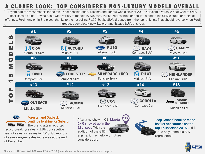## A CLOSER LOOK: TOP CONSIDERED NON-LUXURY MODELS OVERALL

Toyota had the most models in the top 15 for consideration. Tacoma and Tundra won a slew of 2019 KBB.com awards (5-Year Cost to Own, Best Resale Value). Toyota has a wide variety of models (SUVs, cars, trucks) represented on the list, a nod to the OEM's superior range of offerings. Ford hung on in 3rd place, thanks to the hot-selling F-150, but its SUVs dropped from the top rankings. That should reverse when Ford introduces completely new Explorer and Escape SUVs this year.





of December.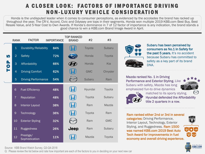## A CLOSER LOOK: FACTORS OF IMPORTANCE DRIVING NON - L U X U R Y V E H I C L E C O N S I D E R A T I O N

Honda is the undisputed leader when it comes to consumer perceptions, as evidenced by the accolades the brand has racked up throughout the year. The CR-V, Accord, Civic and Odyssey are tops in their segments. Honda won multiple 2019 KBB.com Best Buy, Best Resale Value, and 5-Year Cost to Own Awards. If Honda's dominance in 7 of 12 factor of importance is any indication, the brand stands a good chance to win a KBB.com Brand Image Award in April.

|            | <b>RANK</b>    | <b>FACTOR</b>               | <b>IMPORTANCE</b> | <b>TOP RANKED</b><br><b>BRAND</b> | #2         | #3         |
|------------|----------------|-----------------------------|-------------------|-----------------------------------|------------|------------|
|            | $\mathbf{1}$   | Durability/Reliability      | 84%               |                                   | Toyota     | Subaru     |
| IĄ         | $\overline{2}$ | <b>Safety</b>               | 72%               |                                   | Honda      | Toyota     |
| <b>POT</b> | 3              | Affordability               | 66%               |                                   | Honda      | Kia        |
|            | $\overline{4}$ | <b>Driving Comfort</b>      | 62%               |                                   | <b>GMC</b> | Chrysler   |
|            | $\overline{5}$ | <b>Driving Performance</b>  | 54%               |                                   | Subaru     | Ram        |
|            | 6              | <b>Fuel Efficiency</b>      | 48%               |                                   | Hyundai    | Toyota     |
|            | $\overline{7}$ | Reputation                  | 48%               |                                   | Toyota     | Subaru     |
|            | 8              | <b>Interior Layout</b>      | 38%               |                                   | Ram        | Mazda      |
|            | $\overline{9}$ | Technology                  | 36%               |                                   | Toyota     | Ram        |
|            | 10             | <b>Exterior Styling</b>     | 32%               |                                   | Ram        | <b>GMC</b> |
|            | 11             | <b>Ruggedness</b>           | 26%               | <b>Jeep</b>                       | Ram        | Subaru     |
|            | 12             | Prestige/<br>Sophistication | 11%               |                                   | Mazda      | Toyota     |



Subaru has been perceived by consumers as No.1 in Safety for the past 5 years. It's no accident because Subaru has committed to safety as a key part of its brand DNA.

Mazda ranked No. 1 in Driving Performance and Exterior Styling. Like Subaru with safety, Mazda has long emphasized fun-to drive dynamics





matched to its sporty styling. Hyundai defended the Affordability title 2 quarters in a row.

Ram ranked either 2nd or 3rd in several categories: Driving Performance, Interior Layout, Technology, Exterior Styling, and Ruggedness. Ram 1500 was named KBB.com 2019 Best Auto Tech Award for improvements in fuel economy and overall driving experience.





Source: KBB Brand Watch Survey, Q3-Q4-2018

Q: Please review the list below and rate how important are each of the factors to you in deciding on your next new car